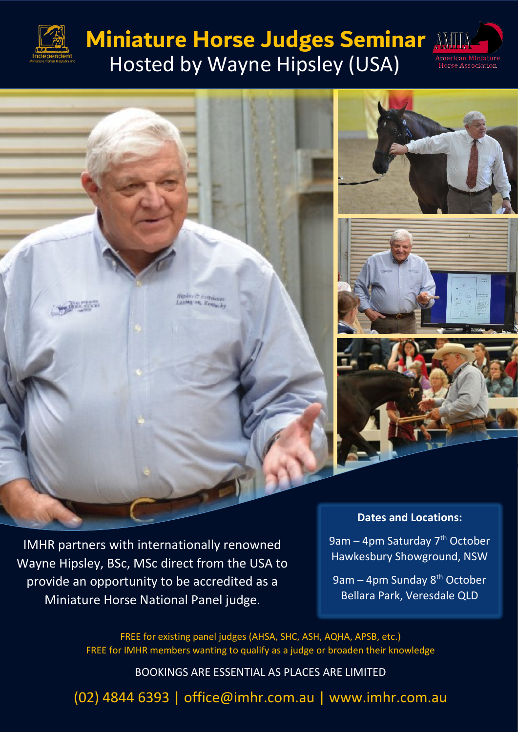

## **Miniature Horse Judges Seminar** Hosted by Wayne Hipsley (USA)





IMHR partners with internationally renowned Wayne Hipsley, BSc, MSc direct from the USA to provide an opportunity to be accredited as a Miniature Horse National Panel judge.

9am – 4pm Saturday  $7<sup>th</sup>$  October Hawkesbury Showground, NSW

9am – 4pm Sunday 8<sup>th</sup> October Bellara Park, Veresdale QLD

FREE for existing panel judges (AHSA, SHC, ASH, AQHA, APSB, etc.) FREE for IMHR members wanting to qualify as a judge or broaden their knowledge

BOOKINGS ARE ESSENTIAL AS PLACES ARE LIMITED

(02) 4844 6393 | office@imhr.com.au | www.imhr.com.au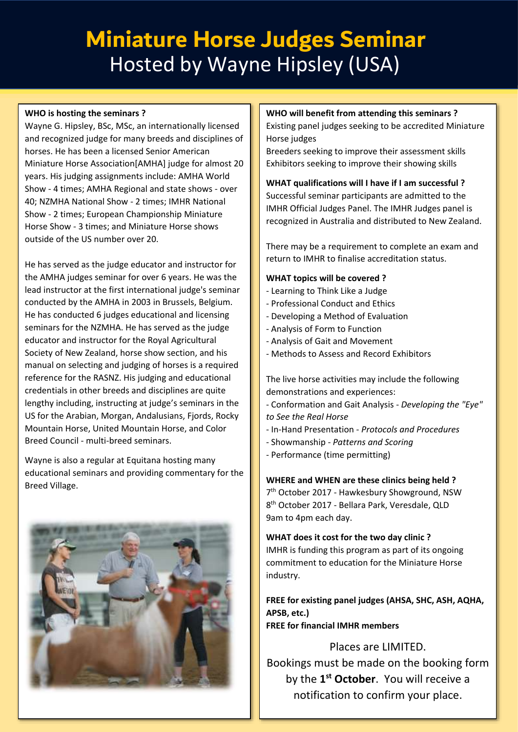# Miniature Horse Judges Seminar Miniature Horse Judges Seminar Hosted by Wayne Hipsley (USA) Hosted by Wayne Hipsley (USA)

#### **WHO is hosting the seminars ?**

Wayne G. Hipsley, BSc, MSc, an internationally licensed and recognized judge for many breeds and disciplines of horses. He has been a licensed Senior American Miniature Horse Association[AMHA] judge for almost 20 years. His judging assignments include: AMHA World Show - 4 times; AMHA Regional and state shows - over 40; NZMHA National Show - 2 times; IMHR National Show - 2 times; European Championship Miniature Horse Show - 3 times; and Miniature Horse shows outside of the US number over 20.

He has served as the judge educator and instructor for the AMHA judges seminar for over 6 years. He was the lead instructor at the first international judge's seminar conducted by the AMHA in 2003 in Brussels, Belgium. He has conducted 6 judges educational and licensing seminars for the NZMHA. He has served as the judge educator and instructor for the Royal Agricultural Society of New Zealand, horse show section, and his manual on selecting and judging of horses is a required reference for the RASNZ. His judging and educational credentials in other breeds and disciplines are quite lengthy including, instructing at judge's seminars in the US for the Arabian, Morgan, Andalusians, Fjords, Rocky Mountain Horse, United Mountain Horse, and Color Breed Council - multi-breed seminars.

Wayne is also a regular at Equitana hosting many educational seminars and providing commentary for the Breed Village.



#### **WHO will benefit from attending this seminars ?**

Existing panel judges seeking to be accredited Miniature Horse judges

Breeders seeking to improve their assessment skills Exhibitors seeking to improve their showing skills

**WHAT qualifications will I have if I am successful ?** Successful seminar participants are admitted to the IMHR Official Judges Panel. The IMHR Judges panel is recognized in Australia and distributed to New Zealand.

There may be a requirement to complete an exam and return to IMHR to finalise accreditation status.

#### **WHAT topics will be covered ?**

- Learning to Think Like a Judge
- Professional Conduct and Ethics
- Developing a Method of Evaluation
- Analysis of Form to Function
- Analysis of Gait and Movement
- Methods to Assess and Record Exhibitors

The live horse activities may include the following demonstrations and experiences:

- Conformation and Gait Analysis *Developing the "Eye" to See the Real Horse*
- In-Hand Presentation *Protocols and Procedures*
- Showmanship *- Patterns and Scoring*
- Performance (time permitting)

**WHERE and WHEN are these clinics being held ?**

7 th October 2017 - Hawkesbury Showground, NSW 8 th October 2017 - Bellara Park, Veresdale, QLD 9am to 4pm each day.

#### **WHAT does it cost for the two day clinic ?**

IMHR is funding this program as part of its ongoing commitment to education for the Miniature Horse industry.

**FREE for existing panel judges (AHSA, SHC, ASH, AQHA, APSB, etc.) FREE for financial IMHR members**

Places are LIMITED. Bookings must be made on the booking form by the **1 st October**. You will receive a notification to confirm your place.